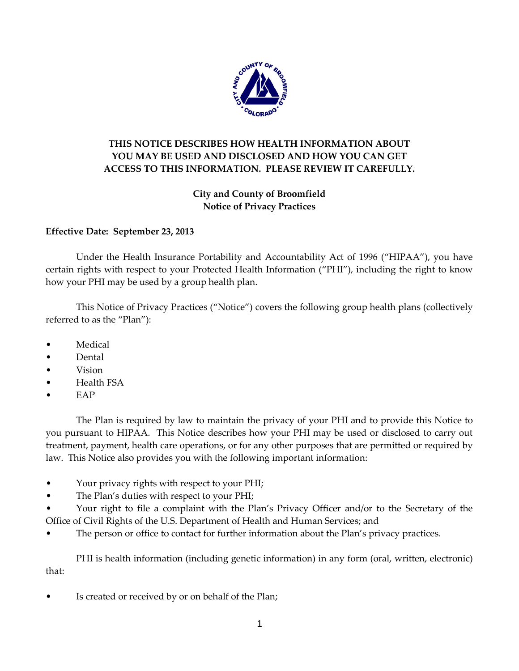

# **THIS NOTICE DESCRIBES HOW HEALTH INFORMATION ABOUT YOU MAY BE USED AND DISCLOSED AND HOW YOU CAN GET ACCESS TO THIS INFORMATION. PLEASE REVIEW IT CAREFULLY.**

# **City and County of Broomfield Notice of Privacy Practices**

# **Effective Date: September 23, 2013**

Under the Health Insurance Portability and Accountability Act of 1996 ("HIPAA"), you have certain rights with respect to your Protected Health Information ("PHI"), including the right to know how your PHI may be used by a group health plan.

This Notice of Privacy Practices ("Notice") covers the following group health plans (collectively referred to as the "Plan"):

- Medical
- Dental
- Vision
- Health FSA
- E<sub>AP</sub>

The Plan is required by law to maintain the privacy of your PHI and to provide this Notice to you pursuant to HIPAA. This Notice describes how your PHI may be used or disclosed to carry out treatment, payment, health care operations, or for any other purposes that are permitted or required by law. This Notice also provides you with the following important information:

- Your privacy rights with respect to your PHI;
- The Plan's duties with respect to your PHI;
- Your right to file a complaint with the Plan's Privacy Officer and/or to the Secretary of the Office of Civil Rights of the U.S. Department of Health and Human Services; and
- The person or office to contact for further information about the Plan's privacy practices.

PHI is health information (including genetic information) in any form (oral, written, electronic) that:

Is created or received by or on behalf of the Plan;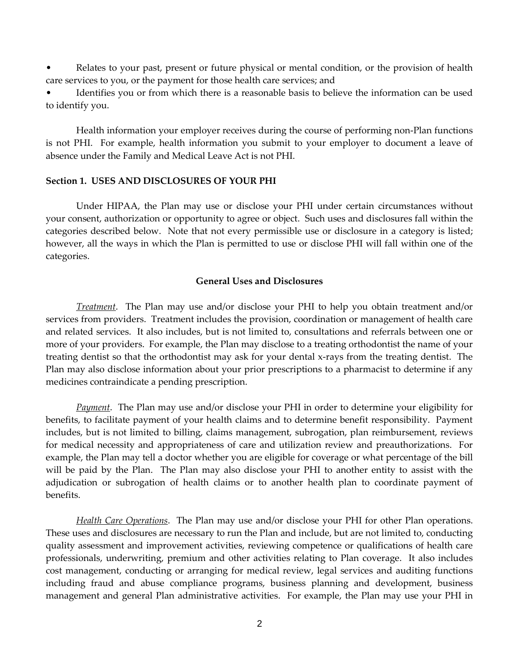Relates to your past, present or future physical or mental condition, or the provision of health care services to you, or the payment for those health care services; and

Identifies you or from which there is a reasonable basis to believe the information can be used to identify you.

Health information your employer receives during the course of performing non-Plan functions is not PHI. For example, health information you submit to your employer to document a leave of absence under the Family and Medical Leave Act is not PHI.

#### **Section 1. USES AND DISCLOSURES OF YOUR PHI**

Under HIPAA, the Plan may use or disclose your PHI under certain circumstances without your consent, authorization or opportunity to agree or object. Such uses and disclosures fall within the categories described below. Note that not every permissible use or disclosure in a category is listed; however, all the ways in which the Plan is permitted to use or disclose PHI will fall within one of the categories.

#### **General Uses and Disclosures**

*Treatment*. The Plan may use and/or disclose your PHI to help you obtain treatment and/or services from providers. Treatment includes the provision, coordination or management of health care and related services. It also includes, but is not limited to, consultations and referrals between one or more of your providers. For example, the Plan may disclose to a treating orthodontist the name of your treating dentist so that the orthodontist may ask for your dental x-rays from the treating dentist. The Plan may also disclose information about your prior prescriptions to a pharmacist to determine if any medicines contraindicate a pending prescription.

*Payment*. The Plan may use and/or disclose your PHI in order to determine your eligibility for benefits, to facilitate payment of your health claims and to determine benefit responsibility. Payment includes, but is not limited to billing, claims management, subrogation, plan reimbursement, reviews for medical necessity and appropriateness of care and utilization review and preauthorizations. For example, the Plan may tell a doctor whether you are eligible for coverage or what percentage of the bill will be paid by the Plan. The Plan may also disclose your PHI to another entity to assist with the adjudication or subrogation of health claims or to another health plan to coordinate payment of benefits.

*Health Care Operations*. The Plan may use and/or disclose your PHI for other Plan operations. These uses and disclosures are necessary to run the Plan and include, but are not limited to, conducting quality assessment and improvement activities, reviewing competence or qualifications of health care professionals, underwriting, premium and other activities relating to Plan coverage. It also includes cost management, conducting or arranging for medical review, legal services and auditing functions including fraud and abuse compliance programs, business planning and development, business management and general Plan administrative activities. For example, the Plan may use your PHI in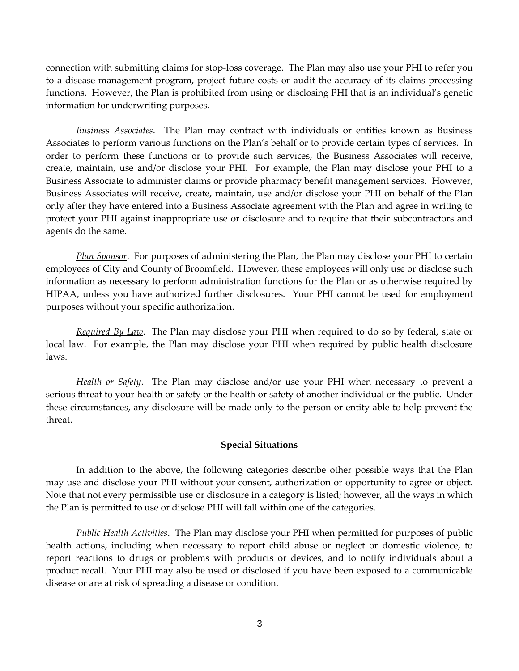connection with submitting claims for stop-loss coverage. The Plan may also use your PHI to refer you to a disease management program, project future costs or audit the accuracy of its claims processing functions. However, the Plan is prohibited from using or disclosing PHI that is an individual's genetic information for underwriting purposes.

*Business Associates*. The Plan may contract with individuals or entities known as Business Associates to perform various functions on the Plan's behalf or to provide certain types of services. In order to perform these functions or to provide such services, the Business Associates will receive, create, maintain, use and/or disclose your PHI. For example, the Plan may disclose your PHI to a Business Associate to administer claims or provide pharmacy benefit management services. However, Business Associates will receive, create, maintain, use and/or disclose your PHI on behalf of the Plan only after they have entered into a Business Associate agreement with the Plan and agree in writing to protect your PHI against inappropriate use or disclosure and to require that their subcontractors and agents do the same.

*Plan Sponsor*. For purposes of administering the Plan, the Plan may disclose your PHI to certain employees of City and County of Broomfield. However, these employees will only use or disclose such information as necessary to perform administration functions for the Plan or as otherwise required by HIPAA, unless you have authorized further disclosures. Your PHI cannot be used for employment purposes without your specific authorization.

*Required By Law*. The Plan may disclose your PHI when required to do so by federal, state or local law. For example, the Plan may disclose your PHI when required by public health disclosure laws.

*Health or Safety*. The Plan may disclose and/or use your PHI when necessary to prevent a serious threat to your health or safety or the health or safety of another individual or the public. Under these circumstances, any disclosure will be made only to the person or entity able to help prevent the threat.

### **Special Situations**

In addition to the above, the following categories describe other possible ways that the Plan may use and disclose your PHI without your consent, authorization or opportunity to agree or object. Note that not every permissible use or disclosure in a category is listed; however, all the ways in which the Plan is permitted to use or disclose PHI will fall within one of the categories.

*Public Health Activities*. The Plan may disclose your PHI when permitted for purposes of public health actions, including when necessary to report child abuse or neglect or domestic violence, to report reactions to drugs or problems with products or devices, and to notify individuals about a product recall. Your PHI may also be used or disclosed if you have been exposed to a communicable disease or are at risk of spreading a disease or condition.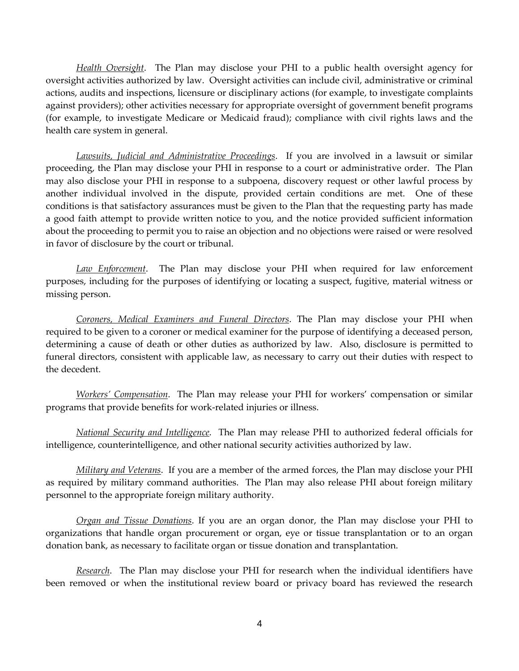*Health Oversight*. The Plan may disclose your PHI to a public health oversight agency for oversight activities authorized by law. Oversight activities can include civil, administrative or criminal actions, audits and inspections, licensure or disciplinary actions (for example, to investigate complaints against providers); other activities necessary for appropriate oversight of government benefit programs (for example, to investigate Medicare or Medicaid fraud); compliance with civil rights laws and the health care system in general.

*Lawsuits, Judicial and Administrative Proceedings*. If you are involved in a lawsuit or similar proceeding, the Plan may disclose your PHI in response to a court or administrative order. The Plan may also disclose your PHI in response to a subpoena, discovery request or other lawful process by another individual involved in the dispute, provided certain conditions are met. One of these conditions is that satisfactory assurances must be given to the Plan that the requesting party has made a good faith attempt to provide written notice to you, and the notice provided sufficient information about the proceeding to permit you to raise an objection and no objections were raised or were resolved in favor of disclosure by the court or tribunal.

*Law Enforcement*. The Plan may disclose your PHI when required for law enforcement purposes, including for the purposes of identifying or locating a suspect, fugitive, material witness or missing person.

*Coroners, Medical Examiners and Funeral Directors*. The Plan may disclose your PHI when required to be given to a coroner or medical examiner for the purpose of identifying a deceased person, determining a cause of death or other duties as authorized by law. Also, disclosure is permitted to funeral directors, consistent with applicable law, as necessary to carry out their duties with respect to the decedent.

*Workers' Compensation*. The Plan may release your PHI for workers' compensation or similar programs that provide benefits for work-related injuries or illness.

*National Security and Intelligence*. The Plan may release PHI to authorized federal officials for intelligence, counterintelligence, and other national security activities authorized by law.

*Military and Veterans*. If you are a member of the armed forces, the Plan may disclose your PHI as required by military command authorities. The Plan may also release PHI about foreign military personnel to the appropriate foreign military authority.

*Organ and Tissue Donations*. If you are an organ donor, the Plan may disclose your PHI to organizations that handle organ procurement or organ, eye or tissue transplantation or to an organ donation bank, as necessary to facilitate organ or tissue donation and transplantation.

*Research*. The Plan may disclose your PHI for research when the individual identifiers have been removed or when the institutional review board or privacy board has reviewed the research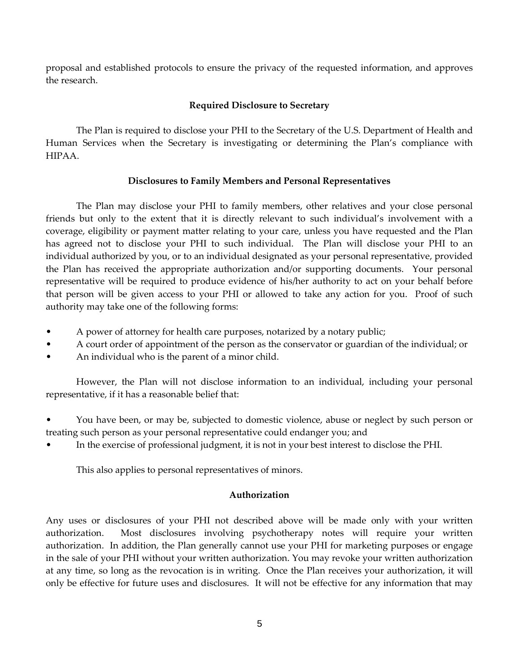proposal and established protocols to ensure the privacy of the requested information, and approves the research.

# **Required Disclosure to Secretary**

The Plan is required to disclose your PHI to the Secretary of the U.S. Department of Health and Human Services when the Secretary is investigating or determining the Plan's compliance with HIPAA.

# **Disclosures to Family Members and Personal Representatives**

The Plan may disclose your PHI to family members, other relatives and your close personal friends but only to the extent that it is directly relevant to such individual's involvement with a coverage, eligibility or payment matter relating to your care, unless you have requested and the Plan has agreed not to disclose your PHI to such individual. The Plan will disclose your PHI to an individual authorized by you, or to an individual designated as your personal representative, provided the Plan has received the appropriate authorization and/or supporting documents. Your personal representative will be required to produce evidence of his/her authority to act on your behalf before that person will be given access to your PHI or allowed to take any action for you. Proof of such authority may take one of the following forms:

- A power of attorney for health care purposes, notarized by a notary public;
- A court order of appointment of the person as the conservator or guardian of the individual; or
- An individual who is the parent of a minor child.

However, the Plan will not disclose information to an individual, including your personal representative, if it has a reasonable belief that:

- You have been, or may be, subjected to domestic violence, abuse or neglect by such person or treating such person as your personal representative could endanger you; and
- In the exercise of professional judgment, it is not in your best interest to disclose the PHI.

This also applies to personal representatives of minors.

### **Authorization**

Any uses or disclosures of your PHI not described above will be made only with your written authorization. Most disclosures involving psychotherapy notes will require your written authorization. In addition, the Plan generally cannot use your PHI for marketing purposes or engage in the sale of your PHI without your written authorization. You may revoke your written authorization at any time, so long as the revocation is in writing. Once the Plan receives your authorization, it will only be effective for future uses and disclosures. It will not be effective for any information that may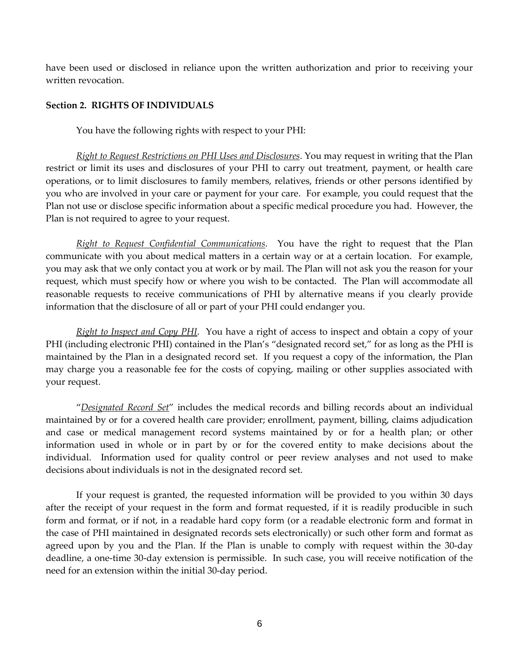have been used or disclosed in reliance upon the written authorization and prior to receiving your written revocation.

## **Section 2. RIGHTS OF INDIVIDUALS**

You have the following rights with respect to your PHI:

*Right to Request Restrictions on PHI Uses and Disclosures*. You may request in writing that the Plan restrict or limit its uses and disclosures of your PHI to carry out treatment, payment, or health care operations, or to limit disclosures to family members, relatives, friends or other persons identified by you who are involved in your care or payment for your care. For example, you could request that the Plan not use or disclose specific information about a specific medical procedure you had. However, the Plan is not required to agree to your request.

*Right to Request Confidential Communications*. You have the right to request that the Plan communicate with you about medical matters in a certain way or at a certain location. For example, you may ask that we only contact you at work or by mail. The Plan will not ask you the reason for your request, which must specify how or where you wish to be contacted. The Plan will accommodate all reasonable requests to receive communications of PHI by alternative means if you clearly provide information that the disclosure of all or part of your PHI could endanger you.

*Right to Inspect and Copy PHI*. You have a right of access to inspect and obtain a copy of your PHI (including electronic PHI) contained in the Plan's "designated record set," for as long as the PHI is maintained by the Plan in a designated record set. If you request a copy of the information, the Plan may charge you a reasonable fee for the costs of copying, mailing or other supplies associated with your request.

"*Designated Record Set*" includes the medical records and billing records about an individual maintained by or for a covered health care provider; enrollment, payment, billing, claims adjudication and case or medical management record systems maintained by or for a health plan; or other information used in whole or in part by or for the covered entity to make decisions about the individual. Information used for quality control or peer review analyses and not used to make decisions about individuals is not in the designated record set.

If your request is granted, the requested information will be provided to you within 30 days after the receipt of your request in the form and format requested, if it is readily producible in such form and format, or if not, in a readable hard copy form (or a readable electronic form and format in the case of PHI maintained in designated records sets electronically) or such other form and format as agreed upon by you and the Plan. If the Plan is unable to comply with request within the 30-day deadline, a one-time 30-day extension is permissible. In such case, you will receive notification of the need for an extension within the initial 30-day period.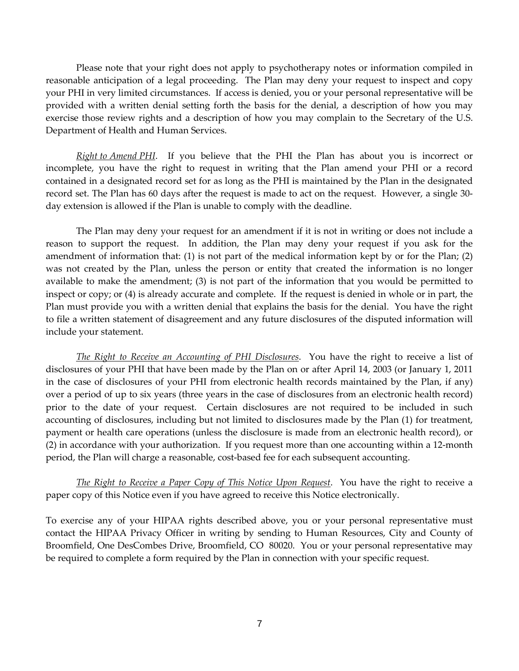Please note that your right does not apply to psychotherapy notes or information compiled in reasonable anticipation of a legal proceeding. The Plan may deny your request to inspect and copy your PHI in very limited circumstances. If access is denied, you or your personal representative will be provided with a written denial setting forth the basis for the denial, a description of how you may exercise those review rights and a description of how you may complain to the Secretary of the U.S. Department of Health and Human Services.

*Right to Amend PHI*. If you believe that the PHI the Plan has about you is incorrect or incomplete, you have the right to request in writing that the Plan amend your PHI or a record contained in a designated record set for as long as the PHI is maintained by the Plan in the designated record set. The Plan has 60 days after the request is made to act on the request. However, a single 30 day extension is allowed if the Plan is unable to comply with the deadline.

The Plan may deny your request for an amendment if it is not in writing or does not include a reason to support the request. In addition, the Plan may deny your request if you ask for the amendment of information that: (1) is not part of the medical information kept by or for the Plan; (2) was not created by the Plan, unless the person or entity that created the information is no longer available to make the amendment; (3) is not part of the information that you would be permitted to inspect or copy; or (4) is already accurate and complete. If the request is denied in whole or in part, the Plan must provide you with a written denial that explains the basis for the denial. You have the right to file a written statement of disagreement and any future disclosures of the disputed information will include your statement.

*The Right to Receive an Accounting of PHI Disclosures*. You have the right to receive a list of disclosures of your PHI that have been made by the Plan on or after April 14, 2003 (or January 1, 2011 in the case of disclosures of your PHI from electronic health records maintained by the Plan, if any) over a period of up to six years (three years in the case of disclosures from an electronic health record) prior to the date of your request. Certain disclosures are not required to be included in such accounting of disclosures, including but not limited to disclosures made by the Plan (1) for treatment, payment or health care operations (unless the disclosure is made from an electronic health record), or (2) in accordance with your authorization. If you request more than one accounting within a 12-month period, the Plan will charge a reasonable, cost-based fee for each subsequent accounting.

*The Right to Receive a Paper Copy of This Notice Upon Request*. You have the right to receive a paper copy of this Notice even if you have agreed to receive this Notice electronically.

To exercise any of your HIPAA rights described above, you or your personal representative must contact the HIPAA Privacy Officer in writing by sending to Human Resources, City and County of Broomfield, One DesCombes Drive, Broomfield, CO 80020. You or your personal representative may be required to complete a form required by the Plan in connection with your specific request.